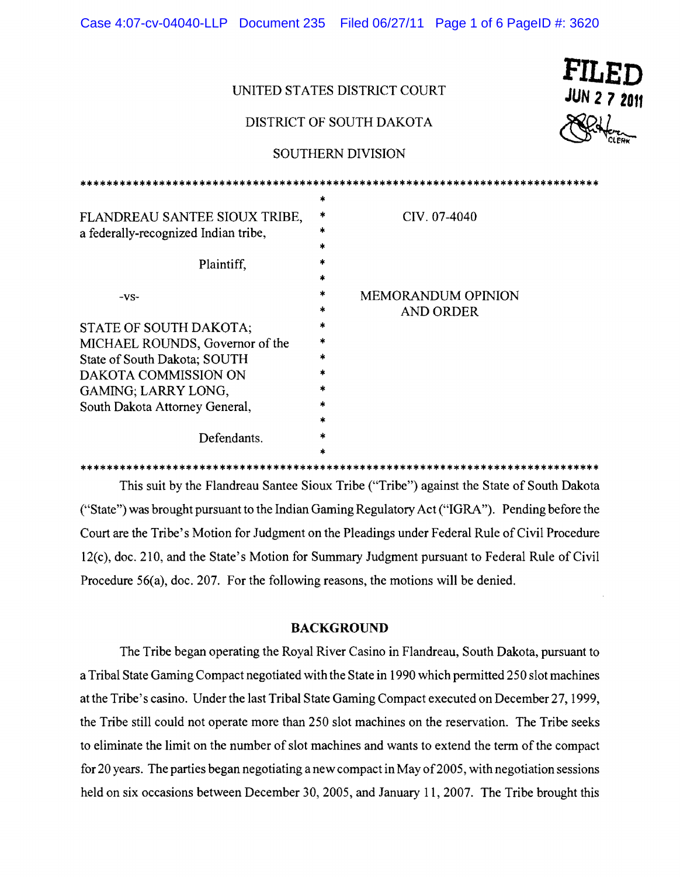| UNITED STATES DISTRICT COURT                                          |         |                                               | FILED<br><b>JUN 2 7 2011</b> |
|-----------------------------------------------------------------------|---------|-----------------------------------------------|------------------------------|
| DISTRICT OF SOUTH DAKOTA                                              |         |                                               |                              |
| SOUTHERN DIVISION                                                     |         |                                               |                              |
| *********************                                                 |         | ***********************************           |                              |
| FLANDREAU SANTEE SIOUX TRIBE,<br>a federally-recognized Indian tribe, | *<br>*  | CIV. 07-4040                                  |                              |
| Plaintiff,                                                            | *<br>*  |                                               |                              |
| $-VS-$                                                                | *       | <b>MEMORANDUM OPINION</b><br><b>AND ORDER</b> |                              |
| STATE OF SOUTH DAKOTA;<br>MICHAEL ROUNDS, Governor of the             | ×.<br>* |                                               |                              |
| State of South Dakota; SOUTH<br>DAKOTA COMMISSION ON                  |         |                                               |                              |
| GAMING; LARRY LONG,<br>South Dakota Attorney General,                 |         |                                               |                              |
| Defendants.                                                           | *       |                                               |                              |
|                                                                       |         |                                               |                              |

Case 4:07-cv-04040-LLP Document 235 Filed 06/27/11 Page 1 of 6 PageID #: 3620

This suit by the Flandreau Santee Sioux Tribe ("Tribe") against the State of South Dakota ("State") was brought pursuant to the Indian Gaming Regulatory Act ("IGRA"). Pending before the Court are the Tribe's Motion for Judgment on the Pleadings under Federal Rule of Civil Procedure 12(c), doc. 210, and the State's Motion for Summary Judgment pursuant to Federal Rule of Civil Procedure 56(a), doc. 207. For the following reasons, the motions will be denied.

## **BACKGROUND**

The Tribe began operating the Royal River Casino in Flandreau, South Dakota, pursuant to a Tribal State Gaming Compact negotiated with the State in 1990 which permitted 250 slot machines at the Tribe's casino. Under the last Tribal State Gaming Compact executed on December 27, 1999, the Tribe still could not operate more than 250 slot machines on the reservation. The Tribe seeks to eliminate the limit on the number of slot machines and wants to extend the term of the compact for 20 years. The parties began negotiating a new compact in May of 2005, with negotiation sessions held on six occasions between December 30, 2005, and January 11, 2007. The Tribe brought this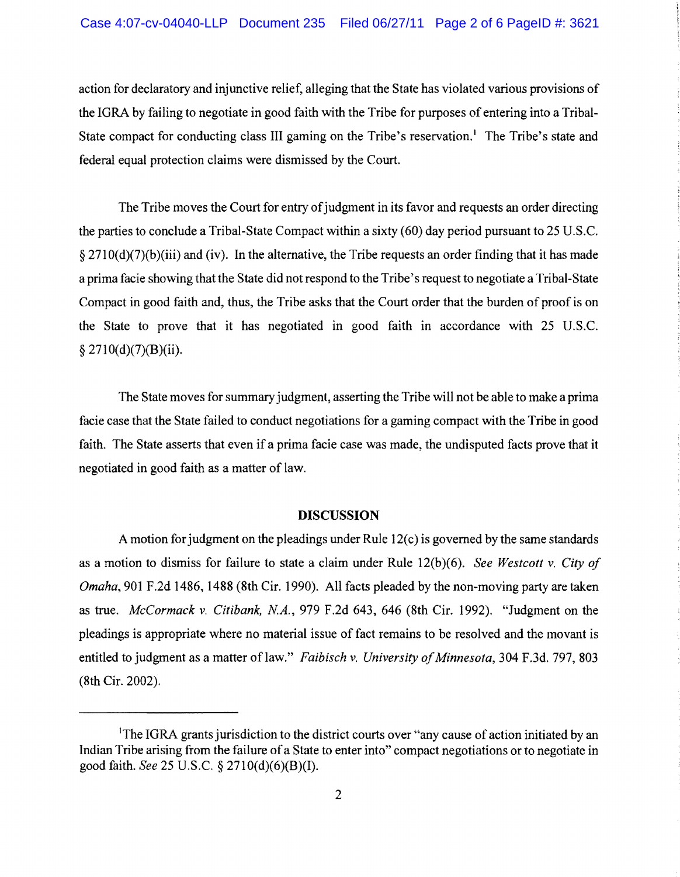action for declaratory and injunctive relief, alleging that the State has violated various provisions of the IGRA by failing to negotiate in good faith with the Tribe for purposes of entering into a Tribal-State compact for conducting class III gaming on the Tribe's reservation.<sup>1</sup> The Tribe's state and federal equal protection claims were dismissed by the Court.

The Tribe moves the Court for entry of judgment in its favor and requests an order directing the parties to conclude a Tribal-State Compact within a sixty (60) day period pursuant to 25 U.S.C.  $\S 2710(d)(7)(b)(iii)$  and (iv). In the alternative, the Tribe requests an order finding that it has made a prima facie showing that the State did not respond to the Tribe's request to negotiate a Tribal-State Compact in good faith and, thus, the Tribe asks that the Court order that the burden of proof is on the State to prove that it has negotiated in good faith in accordance with 25 U.S.C.  $§$  2710(d)(7)(B)(ii).

The State moves for summary judgment, asserting the Tribe will not be able to make a prima facie case that the State failed to conduct negotiations for a gaming compact with the Tribe in good faith. The State asserts that even if a prima facie case was made, the undisputed facts prove that it negotiated in good faith as a matter of law.

## **DISCUSSION**

A motion for judgment on the pleadings under Rule  $12(c)$  is governed by the same standards as a motion to dismiss for failure to state a claim under Rule 12(b)(6). *See Westcott* v. *City of Omaha,* 901 F.2d 1486, 1488 (8th Cir. 1990). All facts pleaded by the non-moving party are taken as true. *McCormack* v. *CUibank, NA.,* 979 F.2d 643, 646 (8th Cir. 1992). "Judgment on the pleadings is appropriate where no material issue of fact remains to be resolved and the movant is entitled to judgment as a matter of law." *Faibisch v. University of Minnesota*, 304 F.3d. 797, 803 (8th Cir. 2002).

<sup>&</sup>lt;sup>1</sup>The IGRA grants jurisdiction to the district courts over "any cause of action initiated by an Indian Tribe arising from the failure of a State to enter into" compact negotiations or to negotiate in good faith. *See* 25 U.S.C. § 2710(d)(6)(B)(I).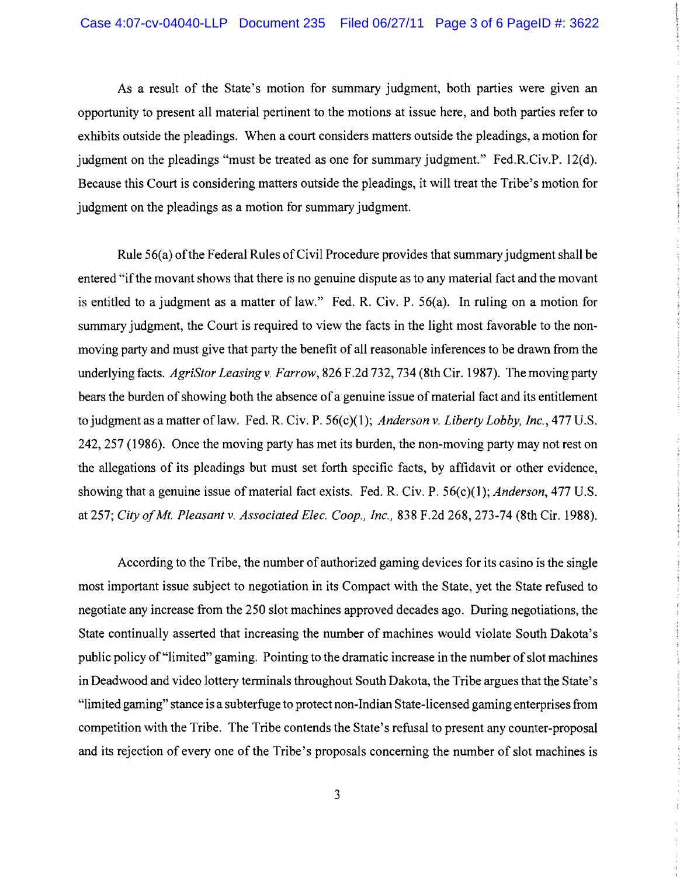As a result of the State's motion for summary judgment, both parties were given an opportunity to present all material pertinent to the motions at issue here, and both parties refer to exhibits outside the pleadings. When a court considers matters outside the pleadings, a motion for judgment on the pleadings "must be treated as one for summary judgment." Fed.R.Civ.P. 12(d). Because this Court is considering matters outside the pleadings, it will treat the Tribe's motion for judgment on the pleadings as a motion for summary judgment.

Rule 56(a) of the Federal Rules of Civil Procedure provides that summary judgment shall be entered "if the movant shows that there is no genuine dispute as to any material fact and the movant is entitled to a judgment as a matter of law." Fed. R. Civ. P. 56(a). In ruling on a motion for summary judgment, the Court is required to view the facts in the light most favorable to the nonmoving party and must give that party the benefit of all reasonable inferences to be drawn from the underlying facts. *AgriStor Leasing* v. *Farrow,* 826 F.2d 732, 734 (8th Cir. 1987). The moving party bears the burden of showing both the absence of a genuine issue of material fact and its entitlement to judgment as a matter oflaw. Fed. R. Civ. P. 56(c)(1); *Anderson* v. *Liberty Lobby, Inc.,* 477 U.S. 242, 257 (1986). Once the moving party has met its burden, the non-moving party may not rest on the allegations of its pleadings but must set forth specific facts, by affidavit or other evidence, showing that a genuine issue of material fact exists. Fed. R. Civ. P. 56(c)(1); *Anderson*, 477 U.S. at 257; *City ofMt. Pleasant* v. *Associated Elec. Coop., Inc.,* 838 F.2d 268, 273-74 (8th Cir. 1988).

According to the Tribe, the number of authorized gaming devices for its casino is the single most important issue subject to negotiation in its Compact with the State, yet the State refused to negotiate any increase from the 250 slot machines approved decades ago. During negotiations, the State continually asserted that increasing the number of machines would violate South Dakota's public policy of "limited" gaming. Pointing to the dramatic increase in the number of slot machines in Deadwood and video lottery terminals throughout South Dakota, the Tribe argues that the State's "limited gaming" stance is a subterfuge to protect non-Indian State-licensed gaming enterprises from competition with the Tribe. The Tribe contends the State's refusal to present any counter-proposal and its rejection of every one of the Tribe's proposals concerning the number of slot machines is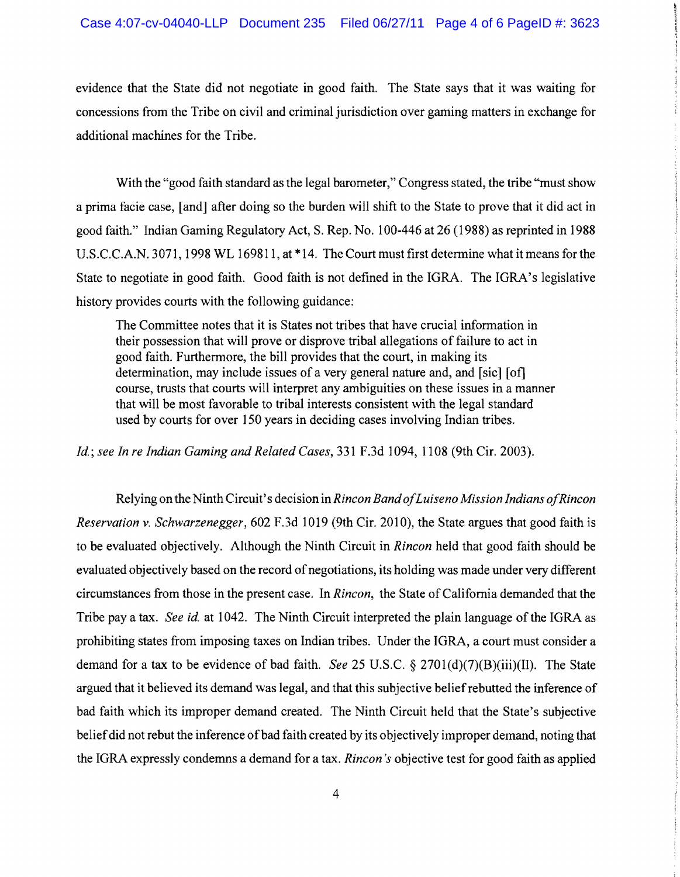evidence that the State did not negotiate in good faith. The State says that it was waiting for concessions from the Tribe on civil and criminal jurisdiction over gaming matters in exchange for additional machines for the Tribe.

With the "good faith standard as the legal barometer," Congress stated, the tribe "must show a prima facie case, [and] after doing so the burden will shift to the State to prove that it did act in good faith." Indian Gaming Regulatory Act, S. Rep. No.1 00-446 at 26 (1988) as reprinted in 1988 U.S.C.C.A.N. 3071, 1998 WL 169811, at \*14. The Court must first determine what it means for the State to negotiate in good faith. Good faith is not defined in the IGRA. The IGRA's legislative history provides courts with the following guidance:

The Committee notes that it is States not tribes that have crucial information in their possession that will prove or disprove tribal allegations of failure to act in good faith. Furthermore, the bill provides that the court, in making its determination, may include issues of a very general nature and, and [sic] [of] course, trusts that courts will interpret any ambiguities on these issues in a manner that will be most favorable to tribal interests consistent with the legal standard used by courts for over 150 years in deciding cases involving Indian tribes.

*Id.; see In re Indian Gaming and Related Cases,* 331 F.3d 1094, 1108 (9th Cir. 2003).

Relying on the Ninth Circuit's decision in *Rincon BandofLuiseno Mission Indians ofRincon Reservation* v. *Schwarzenegger,* 602 F.3d 1019 (9th Cir. 2010), the State argues that good faith is to be evaluated objectively. Although the Ninth Circuit in *Rincon* held that good faith should be evaluated objectively based on the record of negotiations, its holding was made under very different circumstances from those in the present case. In *Rincon*, the State of California demanded that the Tribe pay a tax. *See id.* at 1042. The Ninth Circuit interpreted the plain language of the IGRA as prohibiting states from imposing taxes on Indian tribes. Under the lORA, a court must consider a demand for a tax to be evidence of bad faith. *See* 25 U.S.C. § 2701(d)(7)(B)(iii)(II). The State argued that it believed its demand was legal, and that this subjective belief rebutted the inference of bad faith which its improper demand created. The Ninth Circuit held that the State's subjective belief did not rebut the inference of bad faith created by its objectively improper demand, noting that the lORA expressly condemns a demand for a tax. *Rincon's* objective test for good faith as applied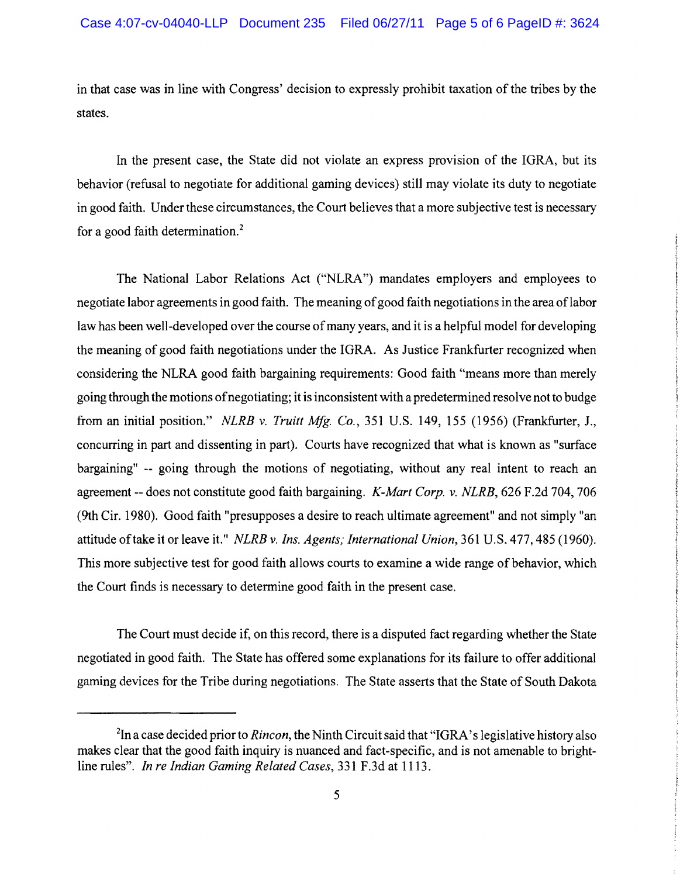in that case was in line with Congress' decision to expressly prohibit taxation of the tribes by the states.

In the present case, the State did not violate an express provision of the IGRA, but its behavior (refusal to negotiate for additional gaming devices) still may violate its duty to negotiate in good faith. Under these circumstances, the Court believes that a more subjective test is necessary for a good faith determination.<sup>2</sup>

The National Labor Relations Act ("NLRA") mandates employers and employees to negotiate labor agreements in good faith. The meaning ofgood faith negotiations in the area oflabor law has been well-developed over the course of many years, and it is a helpful model for developing the meaning of good faith negotiations under the IGRA. As Justice Frankfurter recognized when considering the NLRA good faith bargaining requirements: Good faith "means more than merely going through the motions ofnegotiating; it is inconsistent with a predetermined resolve not to budge from an initial position." *NLRB* v. *Truitt MIg. Co.,* 351 U.S. 149,155 (1956) (Frankfurter, J., concurring in part and dissenting in part). Courts have recognized that what is known as "surface bargaining" -- going through the motions of negotiating, without any real intent to reach an agreement -- does not constitute good faith bargaining. *K-Mart Corp.* v. *NLRB,* 626 F.2d 704, 706 (9th Cir. 1980). Good faith "presupposes a desire to reach ultimate agreement" and not simply "an attitude oftake it or leave it." *NLRB* v. *Ins. Agents,'International Union,* 361 U.S. 477, 485 (1960), This more subjective test for good faith allows courts to examine a wide range of behavior, which the Court finds is necessary to determine good faith in the present case.

The Court must decide if, on this record, there is a disputed fact regarding whether the State negotiated in good faith. The State has offered some explanations for its failure to offer additional gaming devices for the Tribe during negotiations. The State asserts that the State of South Dakota

<sup>&</sup>lt;sup>2</sup>In a case decided prior to *Rincon*, the Ninth Circuit said that "IGRA's legislative history also makes clear that the good faith inquiry is nuanced and fact-specific, and is not amenable to brightline rules", *In re Indian Gaming Related Cases,* 331 F.3d at 1113.